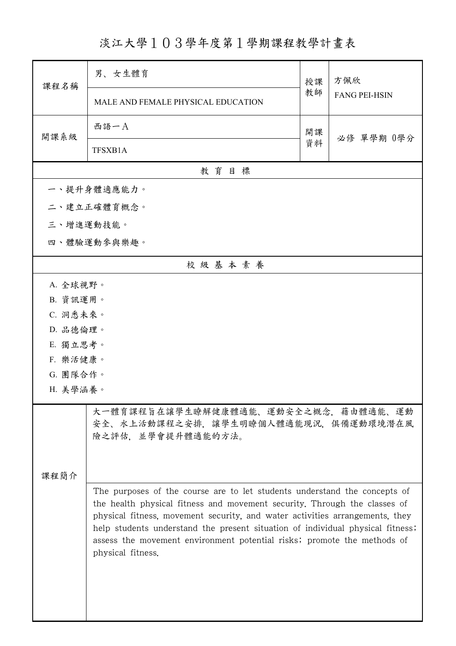淡江大學103學年度第1學期課程教學計畫表

| 課程名稱                                                                                                    | 男、女生體育                                                                                                                                                                                                                                                                                                                                                                                              | 授課 | 方佩欣                  |  |  |
|---------------------------------------------------------------------------------------------------------|-----------------------------------------------------------------------------------------------------------------------------------------------------------------------------------------------------------------------------------------------------------------------------------------------------------------------------------------------------------------------------------------------------|----|----------------------|--|--|
|                                                                                                         | MALE AND FEMALE PHYSICAL EDUCATION                                                                                                                                                                                                                                                                                                                                                                  | 教師 | <b>FANG PEI-HSIN</b> |  |  |
| 開課系級                                                                                                    | 西語一A                                                                                                                                                                                                                                                                                                                                                                                                | 開課 | 必修 單學期 0學分           |  |  |
|                                                                                                         | TFSXB1A                                                                                                                                                                                                                                                                                                                                                                                             | 資料 |                      |  |  |
|                                                                                                         | 教育目標                                                                                                                                                                                                                                                                                                                                                                                                |    |                      |  |  |
|                                                                                                         | 一、提升身體適應能力。                                                                                                                                                                                                                                                                                                                                                                                         |    |                      |  |  |
|                                                                                                         | 二、建立正確體育概念。                                                                                                                                                                                                                                                                                                                                                                                         |    |                      |  |  |
|                                                                                                         | 三、增進運動技能。                                                                                                                                                                                                                                                                                                                                                                                           |    |                      |  |  |
|                                                                                                         | 四、體驗運動參與樂趣。                                                                                                                                                                                                                                                                                                                                                                                         |    |                      |  |  |
|                                                                                                         | 校級基本素養                                                                                                                                                                                                                                                                                                                                                                                              |    |                      |  |  |
| A. 全球視野。                                                                                                |                                                                                                                                                                                                                                                                                                                                                                                                     |    |                      |  |  |
|                                                                                                         | B. 資訊運用。                                                                                                                                                                                                                                                                                                                                                                                            |    |                      |  |  |
| C. 洞悉未來。                                                                                                |                                                                                                                                                                                                                                                                                                                                                                                                     |    |                      |  |  |
| D. 品德倫理。                                                                                                |                                                                                                                                                                                                                                                                                                                                                                                                     |    |                      |  |  |
| E. 獨立思考。                                                                                                |                                                                                                                                                                                                                                                                                                                                                                                                     |    |                      |  |  |
| F. 樂活健康。                                                                                                |                                                                                                                                                                                                                                                                                                                                                                                                     |    |                      |  |  |
| G. 團隊合作。                                                                                                |                                                                                                                                                                                                                                                                                                                                                                                                     |    |                      |  |  |
| H. 美學涵養。                                                                                                |                                                                                                                                                                                                                                                                                                                                                                                                     |    |                      |  |  |
| 大一體育課程旨在讓學生瞭解健康體適能、運動安全之概念,藉由體適能、運動<br>安全、水上活動課程之安排,讓學生明瞭個人體適能現況,俱備運動環境潛在風<br>險之評估,並學會提升體適能的方法。<br>课程简介 |                                                                                                                                                                                                                                                                                                                                                                                                     |    |                      |  |  |
|                                                                                                         | The purposes of the course are to let students understand the concepts of<br>the health physical fitness and movement security. Through the classes of<br>physical fitness, movement security, and water activities arrangements, they<br>help students understand the present situation of individual physical fitness;<br>assess the movement environment potential risks; promote the methods of |    |                      |  |  |

ı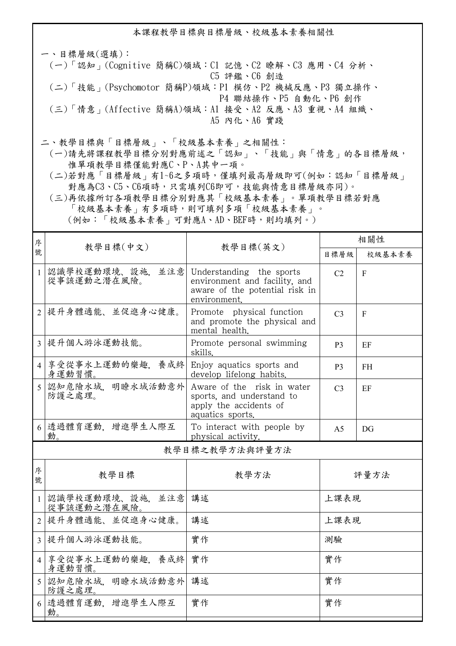本課程教學目標與目標層級、校級基本素養相關性 一、目標層級(選填): (一)「認知」(Cognitive 簡稱C)領域:C1 記憶、C2 瞭解、C3 應用、C4 分析、 C5 評鑑、C6 創造

- (二)「技能」(Psychomotor 簡稱P)領域:P1 模仿、P2 機械反應、P3 獨立操作、 P4 聯結操作、P5 自動化、P6 創作
- (三)「情意」(Affective 簡稱A)領域:A1 接受、A2 反應、A3 重視、A4 組織、 A5 內化、A6 實踐
- 二、教學目標與「目標層級」、「校級基本素養」之相關性:
	- (一)請先將課程教學目標分別對應前述之「認知」、「技能」與「情意」的各目標層級, 惟單項教學目標僅能對應C、P、A其中一項。
	- (二)若對應「目標層級」有1~6之多項時,僅填列最高層級即可(例如:認知「目標層級」 對應為C3、C5、C6項時,只需填列C6即可,技能與情意目標層級亦同)。
	- (三)再依據所訂各項教學目標分別對應其「校級基本素養」。單項教學目標若對應 「校級基本素養」有多項時,則可填列多項「校級基本素養」。

(例如:「校級基本素養」可對應A、AD、BEF時,則均填列。)

| 序              | 教學目標(中文)                           | 教學目標(英文)                                                                                                    | 相關性            |           |  |
|----------------|------------------------------------|-------------------------------------------------------------------------------------------------------------|----------------|-----------|--|
| 號              |                                    |                                                                                                             | 目標層級           | 校級基本素養    |  |
| $\mathbf{1}$   | 認識學校運動環境、設施、<br>並注意<br>從事該運動之潛在風險。 | Understanding the sports<br>environment and facility, and<br>aware of the potential risk in<br>environment. | C <sub>2</sub> | F         |  |
|                | 2 提升身體適能、並促進身心健康。                  | Promote physical function<br>and promote the physical and<br>mental health.                                 | C <sub>3</sub> | F         |  |
|                | 3 提升個人游泳運動技能。                      | Promote personal swimming<br>skills.                                                                        | P <sub>3</sub> | EF        |  |
|                | 4 享受從事水上運動的樂趣,養成終<br>身運動習慣。        | Enjoy aquatics sports and<br>develop lifelong habits.                                                       | P <sub>3</sub> | <b>FH</b> |  |
| 5              | 認知危險水域. 明瞭水域活動意外<br>防護之處理。         | Aware of the risk in water<br>sports, and understand to<br>apply the accidents of<br>aquatics sports.       | C <sub>3</sub> | EF        |  |
|                | 6 透過體育運動, 增進學生人際互<br>動。            | To interact with people by<br>physical activity.                                                            | A <sub>5</sub> | DG        |  |
| 教學目標之教學方法與評量方法 |                                    |                                                                                                             |                |           |  |
| 序<br>號         | 教學目標                               | 教學方法                                                                                                        | 評量方法           |           |  |
| $\mathbf{1}$   | 認識學校運動環境、設施, 並注意<br>從事該運動之潛在風險。    | 講述                                                                                                          | 上課表現           |           |  |
| $\overline{2}$ | 提升身體適能、並促進身心健康。                    | 講述                                                                                                          | 上課表現           |           |  |
|                | 3 提升個人游泳運動技能。                      | 實作                                                                                                          | 測驗             |           |  |
|                | 4 享受從事水上運動的樂趣,養成終<br>身運動習慣。        | 實作                                                                                                          | 實作             |           |  |
|                | 5 認知危險水域, 明瞭水域活動意外<br>防護之處理。       | 講述                                                                                                          | 實作             |           |  |
| 6              | 透過體育運動,增進學生人際互<br>動。               | 實作                                                                                                          | 實作             |           |  |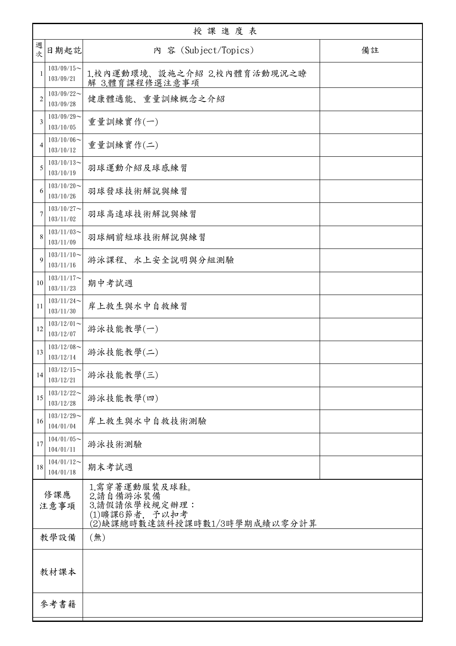|                | 授課進度表                         |                                                                                               |    |  |  |
|----------------|-------------------------------|-----------------------------------------------------------------------------------------------|----|--|--|
| 週<br>次         | 日期起訖                          | 内 容 (Subject/Topics)                                                                          | 備註 |  |  |
| $\mathbf{1}$   | $103/09/15$ ~<br>103/09/21    | 1.校內運動環境、設施之介紹 2.校內體育活動現況之瞭<br>解 3.體育課程修選注意事項                                                 |    |  |  |
| $\overline{2}$ | $103/09/22$ ~<br>103/09/28    | 健康體適能、重量訓練概念之介紹                                                                               |    |  |  |
| 3              | $103/09/29$ ~<br>103/10/05    | 重量訓練實作(一)                                                                                     |    |  |  |
| 4              | $103/10/06 \sim$<br>103/10/12 | 重量訓練實作(二)                                                                                     |    |  |  |
| 5              | $103/10/13$ ~<br>103/10/19    | 羽球運動介紹及球感練習                                                                                   |    |  |  |
| 6              | $103/10/20$ ~<br>103/10/26    | 羽球發球技術解說與練習                                                                                   |    |  |  |
| 7              | $103/10/27$ ~<br>103/11/02    | 羽球高遠球技術解說與練習                                                                                  |    |  |  |
| 8              | $103/11/03$ ~<br>103/11/09    | 羽球網前短球技術解說與練習                                                                                 |    |  |  |
| 9              | $103/11/10$ ~<br>103/11/16    | 游泳課程、水上安全說明與分組測驗                                                                              |    |  |  |
| 10             | $103/11/17$ ~<br>103/11/23    | 期中考試週                                                                                         |    |  |  |
| 11             | $103/11/24$ ~<br>103/11/30    | 岸上救生與水中自救練習                                                                                   |    |  |  |
| 12             | $103/12/01$ ~<br>103/12/07    | 游泳技能教學(一)                                                                                     |    |  |  |
| 13             | $103/12/08$ ~<br>103/12/14    | 游泳技能教學(二)                                                                                     |    |  |  |
| 14             | $103/12/15$ ~<br>103/12/21    | 游泳技能教學(三)                                                                                     |    |  |  |
| 15             | $103/12/22$ ~<br>103/12/28    | 游泳技能教學(四)                                                                                     |    |  |  |
| 16             | $103/12/29$ ~<br>104/01/04    | 岸上救生與水中自救技術測驗                                                                                 |    |  |  |
| 17             | $104/01/05$ ~<br>104/01/11    | 游泳技術測驗                                                                                        |    |  |  |
| 18             | $104/01/12$ ~<br>104/01/18    | 期末考試週                                                                                         |    |  |  |
| 修課應<br>注意事項    |                               | 1.需穿著運動服裝及球鞋。<br>2.請自備游泳裝備<br>3.請假請依學校規定辦理:<br>(1)曠課6節者, 予以扣考<br>(2)缺課總時數達該科授課時數1/3時學期成績以零分計算 |    |  |  |
|                | 教學設備                          | (無)                                                                                           |    |  |  |
| 教材課本           |                               |                                                                                               |    |  |  |
|                | 參考書籍                          |                                                                                               |    |  |  |